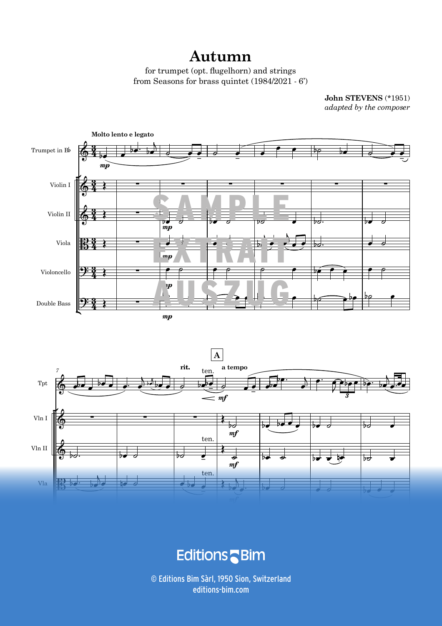## **Autumn**

for trumpet (opt. flugelhorn) and strings from Seasons for brass quintet  $(1984/2021 \cdot 6')$ 

> John STEVENS (\*1951) *adapted by the composer*





 $\blacksquare$ -<br>-<br>- $\overline{\mathbf{c}}$ and the company of the company of the company of the company of the company of the company of the company of the company of the company of the company of the company of the company of the company of the company of the comp

 $\odot$  Editions Bim Sàrl, 1950 Sion, Switzerland  $\mathcal{A}_\text{G}$  and  $\mathcal{A}_\text{G}$  and  $\mathcal{A}_\text{G}$  and  $\mathcal{A}_\text{G}$  and  $\mathcal{A}_\text{G}$  editions-bim.com and  $\mathcal{A}_\text{G}$  and  $\mathcal{A}_\text{G}$  and  $\mathcal{A}_\text{G}$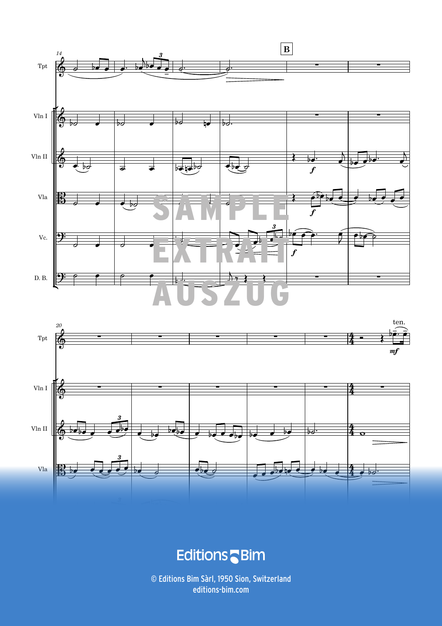



## **Editions** Bim

4 *Unauthorized duplication is illegal. © Editions Bim - J. Stevens, Autumn for &ugelhorn & strings* TP296b © Editions Bim Sàrl, 1950 Sion, Switzerland editions-bim.com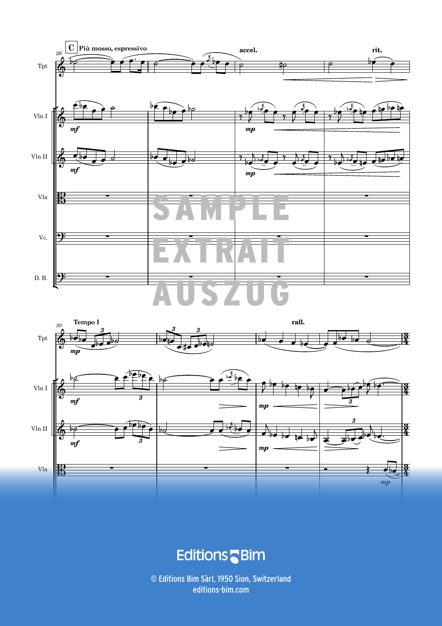



**Editions** Bim

TP296b *Unauthorized duplication is illegal. © Editions Bim - J. Stevens, Autumn for &ugelhorn & strings* 5 © Editions Bim Sàrl, 1950 Sion, Switzerland editions-bim.com